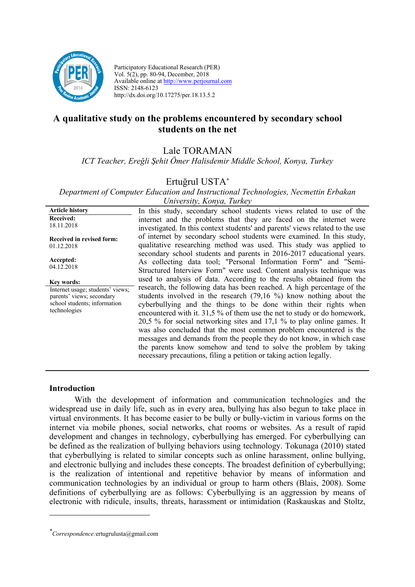

Participatory Educational Research (PER) Vol. 5(2), pp. 80-94, December, 2018 Available online at http://www.perjournal.com ISSN: 2148-6123 http://dx.doi.org/10.17275/per.18.13.5.2

# **A qualitative study on the problems encountered by secondary school students on the net**

Lale TORAMAN

*ICT Teacher, Ereğli Şehit Ömer Halisdemir Middle School, Konya, Turkey*

## Ertuğrul USTA\*

*Department of Computer Education and Instructional Technologies, Necmettin Erbakan University, Konya, Turkey*

**Article history Received:**  18.11.2018 **Received in revised form:**  01.12.2018 **Accepted:** 04.12.2018 In this study, secondary school students views related to use of the internet and the problems that they are faced on the internet were investigated. In this context students' and parents' views related to the use of internet by secondary school students were examined. In this study, qualitative researching method was used. This study was applied to secondary school students and parents in 2016-2017 educational years. As collecting data tool; "Personal Information Form" and "Semi-Structured Interview Form" were used. Content analysis technique was used to analysis of data. According to the results obtained from the research, the following data has been reached. A high percentage of the students involved in the research (79,16 %) know nothing about the cyberbullying and the things to be done within their rights when encountered with it. 31,5 % of them use the net to study or do homework, 20,5 % for social networking sites and 17,1 % to play online games. It was also concluded that the most common problem encountered is the messages and demands from the people they do not know, in which case the parents know somehow and tend to solve the problem by taking necessary precautions, filing a petition or taking action legally. **Key words:** Internet usage; students' views; parents' views; secondary school students; information technologies

#### **Introduction**

 $\overline{a}$ 

With the development of information and communication technologies and the widespread use in daily life, such as in every area, bullying has also begun to take place in virtual environments. It has become easier to be bully or bully-victim in various forms on the internet via mobile phones, social networks, chat rooms or websites. As a result of rapid development and changes in technology, cyberbullying has emerged. For cyberbullying can be defined as the realization of bullying behaviors using technology. Tokunaga (2010) stated that cyberbullying is related to similar concepts such as online harassment, online bullying, and electronic bullying and includes these concepts. The broadest definition of cyberbullying; is the realization of intentional and repetitive behavior by means of information and communication technologies by an individual or group to harm others (Blais, 2008). Some definitions of cyberbullying are as follows: Cyberbullying is an aggression by means of electronic with ridicule, insults, threats, harassment or intimidation (Raskauskas and Stoltz,

*<sup>\*</sup> Correspondence:*ertugrulusta@gmail.com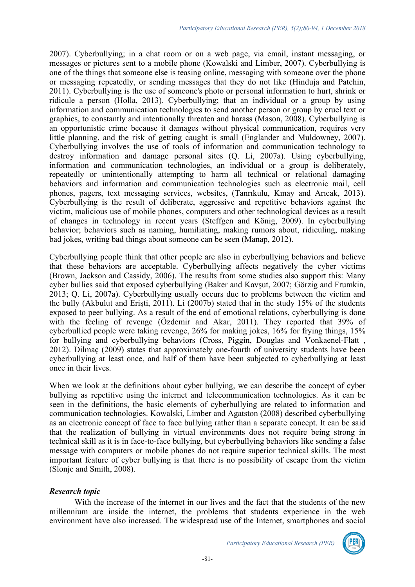2007). Cyberbullying; in a chat room or on a web page, via email, instant messaging, or messages or pictures sent to a mobile phone (Kowalski and Limber, 2007). Cyberbullying is one of the things that someone else is teasing online, messaging with someone over the phone or messaging repeatedly, or sending messages that they do not like (Hinduja and Patchin, 2011). Cyberbullying is the use of someone's photo or personal information to hurt, shrink or ridicule a person (Holla, 2013). Cyberbullying; that an individual or a group by using information and communication technologies to send another person or group by cruel text or graphics, to constantly and intentionally threaten and harass (Mason, 2008). Cyberbullying is an opportunistic crime because it damages without physical communication, requires very little planning, and the risk of getting caught is small (Englander and Muldowney, 2007). Cyberbullying involves the use of tools of information and communication technology to destroy information and damage personal sites (Q. Li, 2007a). Using cyberbullying, information and communication technologies, an individual or a group is deliberately, repeatedly or unintentionally attempting to harm all technical or relational damaging behaviors and information and communication technologies such as electronic mail, cell phones, pagers, text messaging services, websites, (Tanrıkulu, Kınay and Arıcak, 2013). Cyberbullying is the result of deliberate, aggressive and repetitive behaviors against the victim, malicious use of mobile phones, computers and other technological devices as a result of changes in technology in recent years (Steffgen and König, 2009). In cyberbullying behavior; behaviors such as naming, humiliating, making rumors about, ridiculing, making bad jokes, writing bad things about someone can be seen (Manap, 2012).

Cyberbullying people think that other people are also in cyberbullying behaviors and believe that these behaviors are acceptable. Cyberbullying affects negatively the cyber victims (Brown, Jackson and Cassidy, 2006). The results from some studies also support this: Many cyber bullies said that exposed cyberbullying (Baker and Kavşut, 2007; Görzig and Frumkin, 2013; Q. Li, 2007a). Cyberbullying usually occurs due to problems between the victim and the bully (Akbulut and Erişti, 2011). Li (2007b) stated that in the study 15% of the students exposed to peer bullying. As a result of the end of emotional relations, cyberbullying is done with the feeling of revenge (Özdemir and Akar, 2011). They reported that 39% of cyberbullied people were taking revenge, 26% for making jokes, 16% for frying things, 15% for bullying and cyberbullying behaviors (Cross, Piggin, Douglas and Vonkaenel-Flatt , 2012). Dilmaç (2009) states that approximately one-fourth of university students have been cyberbullying at least once, and half of them have been subjected to cyberbullying at least once in their lives.

When we look at the definitions about cyber bullying, we can describe the concept of cyber bullying as repetitive using the internet and telecommunication technologies. As it can be seen in the definitions, the basic elements of cyberbullying are related to information and communication technologies. Kowalski, Limber and Agatston (2008) described cyberbullying as an electronic concept of face to face bullying rather than a separate concept. It can be said that the realization of bullying in virtual environments does not require being strong in technical skill as it is in face-to-face bullying, but cyberbullying behaviors like sending a false message with computers or mobile phones do not require superior technical skills. The most important feature of cyber bullying is that there is no possibility of escape from the victim (Slonje and Smith, 2008).

#### *Research topic*

With the increase of the internet in our lives and the fact that the students of the new millennium are inside the internet, the problems that students experience in the web environment have also increased. The widespread use of the Internet, smartphones and social

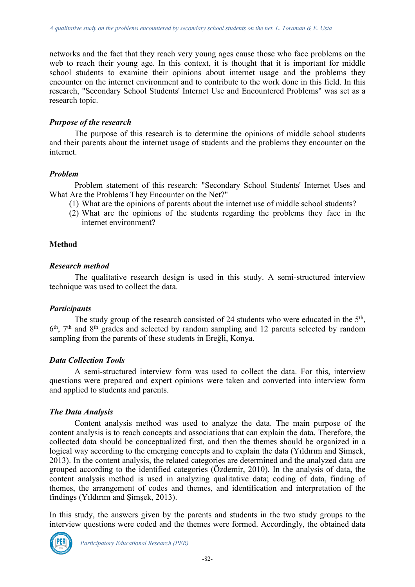networks and the fact that they reach very young ages cause those who face problems on the web to reach their young age. In this context, it is thought that it is important for middle school students to examine their opinions about internet usage and the problems they encounter on the internet environment and to contribute to the work done in this field. In this research, "Secondary School Students' Internet Use and Encountered Problems" was set as a research topic.

## *Purpose of the research*

The purpose of this research is to determine the opinions of middle school students and their parents about the internet usage of students and the problems they encounter on the internet.

## *Problem*

Problem statement of this research: "Secondary School Students' Internet Uses and What Are the Problems They Encounter on the Net?"

- (1) What are the opinions of parents about the internet use of middle school students?
- (2) What are the opinions of the students regarding the problems they face in the internet environment?

## **Method**

## *Research method*

The qualitative research design is used in this study. A semi-structured interview technique was used to collect the data.

#### *Participants*

The study group of the research consisted of 24 students who were educated in the  $5<sup>th</sup>$ , 6<sup>th</sup>, 7<sup>th</sup> and 8<sup>th</sup> grades and selected by random sampling and 12 parents selected by random sampling from the parents of these students in Ereğli, Konya.

## *Data Collection Tools*

A semi-structured interview form was used to collect the data. For this, interview questions were prepared and expert opinions were taken and converted into interview form and applied to students and parents.

#### *The Data Analysis*

Content analysis method was used to analyze the data. The main purpose of the content analysis is to reach concepts and associations that can explain the data. Therefore, the collected data should be conceptualized first, and then the themes should be organized in a logical way according to the emerging concepts and to explain the data (Yıldırım and Şimşek, 2013). In the content analysis, the related categories are determined and the analyzed data are grouped according to the identified categories (Özdemir, 2010). In the analysis of data, the content analysis method is used in analyzing qualitative data; coding of data, finding of themes, the arrangement of codes and themes, and identification and interpretation of the findings (Yıldırım and Şimşek, 2013).

In this study, the answers given by the parents and students in the two study groups to the interview questions were coded and the themes were formed. Accordingly, the obtained data

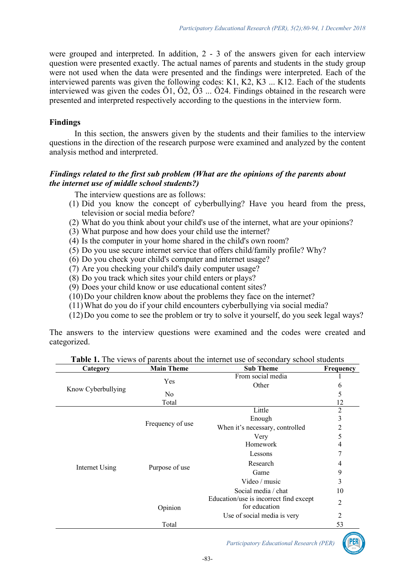were grouped and interpreted. In addition, 2 - 3 of the answers given for each interview question were presented exactly. The actual names of parents and students in the study group were not used when the data were presented and the findings were interpreted. Each of the interviewed parents was given the following codes: K1, K2, K3 ... K12. Each of the students interviewed was given the codes Ö1, Ö2, Ö3 ... Ö24. Findings obtained in the research were presented and interpreted respectively according to the questions in the interview form.

#### **Findings**

In this section, the answers given by the students and their families to the interview questions in the direction of the research purpose were examined and analyzed by the content analysis method and interpreted.

#### *Findings related to the first sub problem (What are the opinions of the parents about the internet use of middle school students?)*

The interview questions are as follows:

- (1) Did you know the concept of cyberbullying? Have you heard from the press, television or social media before?
- (2) What do you think about your child's use of the internet, what are your opinions?
- (3) What purpose and how does your child use the internet?
- (4) Is the computer in your home shared in the child's own room?
- (5) Do you use secure internet service that offers child/family profile? Why?
- (6) Do you check your child's computer and internet usage?
- (7) Are you checking your child's daily computer usage?
- (8) Do you track which sites your child enters or plays?
- (9) Does your child know or use educational content sites?
- (10)Do your children know about the problems they face on the internet?
- (11)What do you do if your child encounters cyberbullying via social media?
- (12)Do you come to see the problem or try to solve it yourself, do you seek legal ways?

The answers to the interview questions were examined and the codes were created and categorized.

| Category           | <b>Main Theme</b>                  | <b>Sub Theme</b>                                                                                                                                                                                                                                                                                                                     | Frequency      |
|--------------------|------------------------------------|--------------------------------------------------------------------------------------------------------------------------------------------------------------------------------------------------------------------------------------------------------------------------------------------------------------------------------------|----------------|
|                    | Yes                                | From social media                                                                                                                                                                                                                                                                                                                    |                |
|                    |                                    | Other                                                                                                                                                                                                                                                                                                                                | 6              |
| Know Cyberbullying | N <sub>0</sub>                     |                                                                                                                                                                                                                                                                                                                                      | 5              |
|                    | Total                              | <b>I ADIC 1.</b> THE VIEWS OF BAFFILS ADOUT THE HILLING USE OF SECONDALY SCHOOL SUGGEILS<br>Little<br>Enough<br>When it's necessary, controlled<br>Very<br>Homework<br>Lessons<br>Research<br>Game<br>Video / music<br>Social media / chat<br>Education/use is incorrect find except<br>for education<br>Use of social media is very | 12             |
|                    | Frequency of use                   |                                                                                                                                                                                                                                                                                                                                      | $\overline{2}$ |
|                    |                                    |                                                                                                                                                                                                                                                                                                                                      | 3              |
|                    |                                    |                                                                                                                                                                                                                                                                                                                                      | 2              |
|                    |                                    |                                                                                                                                                                                                                                                                                                                                      | 5              |
|                    | Purpose of use<br>Opinion<br>Total |                                                                                                                                                                                                                                                                                                                                      | 4              |
|                    |                                    |                                                                                                                                                                                                                                                                                                                                      | 7              |
| Internet Using     |                                    |                                                                                                                                                                                                                                                                                                                                      | 4              |
|                    |                                    |                                                                                                                                                                                                                                                                                                                                      | 9              |
|                    |                                    |                                                                                                                                                                                                                                                                                                                                      | 3              |
|                    |                                    |                                                                                                                                                                                                                                                                                                                                      | 10             |
|                    |                                    |                                                                                                                                                                                                                                                                                                                                      | $\overline{2}$ |
|                    |                                    |                                                                                                                                                                                                                                                                                                                                      | 2              |
|                    |                                    |                                                                                                                                                                                                                                                                                                                                      | 53             |

**Table 1.** The views of parents about the internet use of secondary school students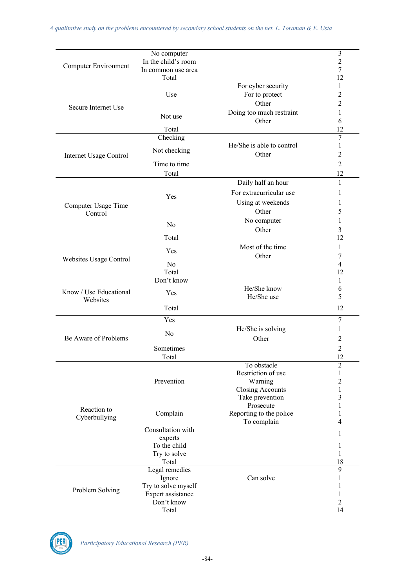*A qualitative study on the problems encountered by secondary school students on the net. L. Toraman & E. Usta*

| Computer Environment                                                                                                                                                                                    | No computer         |                           | $\mathfrak{Z}$ |
|---------------------------------------------------------------------------------------------------------------------------------------------------------------------------------------------------------|---------------------|---------------------------|----------------|
|                                                                                                                                                                                                         | In the child's room |                           | $\overline{2}$ |
|                                                                                                                                                                                                         | In common use area  |                           | $\tau$         |
|                                                                                                                                                                                                         |                     |                           | 12             |
|                                                                                                                                                                                                         | Total               |                           |                |
|                                                                                                                                                                                                         |                     | For cyber security        | 1              |
| Secure Internet Use<br>Internet Usage Control<br>Computer Usage Time<br>Control<br>Websites Usage Control<br>Know / Use Educational<br>Websites<br>Be Aware of Problems<br>Reaction to<br>Cyberbullying | Use                 | For to protect            | $\overline{2}$ |
|                                                                                                                                                                                                         |                     | Other                     | 2              |
|                                                                                                                                                                                                         |                     | Doing too much restraint  | $\mathbf{1}$   |
|                                                                                                                                                                                                         | Not use             | Other                     | 6              |
|                                                                                                                                                                                                         |                     |                           |                |
|                                                                                                                                                                                                         | Total               |                           | 12             |
|                                                                                                                                                                                                         | Checking            |                           | 7              |
|                                                                                                                                                                                                         | Not checking        | He/She is able to control | $\mathbf{1}$   |
|                                                                                                                                                                                                         |                     | Other                     | 2              |
|                                                                                                                                                                                                         | Time to time        |                           | $\overline{2}$ |
|                                                                                                                                                                                                         |                     |                           |                |
|                                                                                                                                                                                                         | Total               |                           | 12             |
|                                                                                                                                                                                                         |                     | Daily half an hour        | $\mathbf{1}$   |
|                                                                                                                                                                                                         |                     | For extracurricular use   | 1              |
|                                                                                                                                                                                                         | Yes                 |                           |                |
|                                                                                                                                                                                                         |                     | Using at weekends         | 1              |
|                                                                                                                                                                                                         |                     | Other                     | 5              |
|                                                                                                                                                                                                         |                     | No computer               | 1              |
|                                                                                                                                                                                                         | No                  | Other                     | 3              |
|                                                                                                                                                                                                         | Total               |                           | 12             |
|                                                                                                                                                                                                         |                     | Most of the time          |                |
|                                                                                                                                                                                                         | Yes                 |                           | 1              |
|                                                                                                                                                                                                         |                     | Other                     | 7              |
|                                                                                                                                                                                                         | No                  |                           | $\overline{4}$ |
|                                                                                                                                                                                                         | Total               |                           | 12             |
|                                                                                                                                                                                                         | Don't know          |                           | $\mathbf{1}$   |
|                                                                                                                                                                                                         |                     | He/She know               | 6              |
|                                                                                                                                                                                                         | Yes                 | He/She use                | 5              |
|                                                                                                                                                                                                         |                     |                           |                |
|                                                                                                                                                                                                         | Total               |                           | 12             |
|                                                                                                                                                                                                         | Yes                 |                           | 7              |
|                                                                                                                                                                                                         |                     | He/She is solving         | 1              |
|                                                                                                                                                                                                         | N <sub>o</sub>      |                           |                |
|                                                                                                                                                                                                         |                     | Other                     | 2              |
|                                                                                                                                                                                                         | Sometimes           |                           | $\overline{c}$ |
|                                                                                                                                                                                                         | Total               |                           | 12             |
|                                                                                                                                                                                                         |                     | To obstacle               | $\sqrt{2}$     |
|                                                                                                                                                                                                         |                     | Restriction of use        | 1              |
|                                                                                                                                                                                                         | Prevention          |                           |                |
|                                                                                                                                                                                                         |                     | Warning                   | $\overline{c}$ |
|                                                                                                                                                                                                         |                     | <b>Closing Accounts</b>   | $\mathbf{1}$   |
|                                                                                                                                                                                                         |                     | Take prevention           | 3              |
|                                                                                                                                                                                                         |                     | Prosecute                 | 1              |
|                                                                                                                                                                                                         | Complain            | Reporting to the police   | 1              |
|                                                                                                                                                                                                         |                     | To complain               | 4              |
|                                                                                                                                                                                                         | Consultation with   |                           |                |
|                                                                                                                                                                                                         | experts             |                           | 1              |
|                                                                                                                                                                                                         | To the child        |                           | 1              |
|                                                                                                                                                                                                         | Try to solve        |                           | 1              |
|                                                                                                                                                                                                         | Total               |                           | 18             |
|                                                                                                                                                                                                         | Legal remedies      |                           | 9              |
|                                                                                                                                                                                                         |                     |                           |                |
|                                                                                                                                                                                                         | Ignore              | Can solve                 | 1              |
| Problem Solving                                                                                                                                                                                         | Try to solve myself |                           | 1              |
|                                                                                                                                                                                                         | Expert assistance   |                           | $\mathbf{1}$   |
|                                                                                                                                                                                                         | Don't know          |                           | $\overline{2}$ |
|                                                                                                                                                                                                         | Total               |                           | 14             |

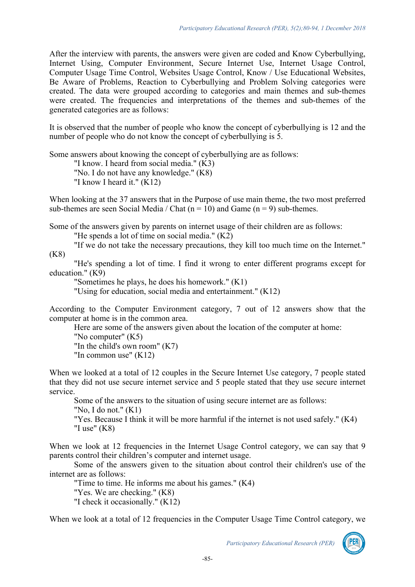After the interview with parents, the answers were given are coded and Know Cyberbullying, Internet Using, Computer Environment, Secure Internet Use, Internet Usage Control, Computer Usage Time Control, Websites Usage Control, Know / Use Educational Websites, Be Aware of Problems, Reaction to Cyberbullying and Problem Solving categories were created. The data were grouped according to categories and main themes and sub-themes were created. The frequencies and interpretations of the themes and sub-themes of the generated categories are as follows:

It is observed that the number of people who know the concept of cyberbullying is 12 and the number of people who do not know the concept of cyberbullying is 5.

Some answers about knowing the concept of cyberbullying are as follows:

"I know. I heard from social media." (K3)

"No. I do not have any knowledge." (K8)

"I know I heard it." (K12)

When looking at the 37 answers that in the Purpose of use main theme, the two most preferred sub-themes are seen Social Media / Chat ( $n = 10$ ) and Game ( $n = 9$ ) sub-themes.

Some of the answers given by parents on internet usage of their children are as follows:

"He spends a lot of time on social media." (K2)

"If we do not take the necessary precautions, they kill too much time on the Internet." (K8)

"He's spending a lot of time. I find it wrong to enter different programs except for education." (K9)

"Sometimes he plays, he does his homework." (K1)

"Using for education, social media and entertainment." (K12)

According to the Computer Environment category, 7 out of 12 answers show that the computer at home is in the common area.

Here are some of the answers given about the location of the computer at home: "No computer" (K5) "In the child's own room" (K7) "In common use" (K12)

When we looked at a total of 12 couples in the Secure Internet Use category, 7 people stated that they did not use secure internet service and 5 people stated that they use secure internet service.

Some of the answers to the situation of using secure internet are as follows:

"No, I do not."  $(K1)$ 

"Yes. Because I think it will be more harmful if the internet is not used safely." (K4) "I use" (K8)

When we look at 12 frequencies in the Internet Usage Control category, we can say that 9 parents control their children's computer and internet usage.

Some of the answers given to the situation about control their children's use of the internet are as follows:

"Time to time. He informs me about his games." (K4) "Yes. We are checking." (K8)

"I check it occasionally." (K12)

When we look at a total of 12 frequencies in the Computer Usage Time Control category, we

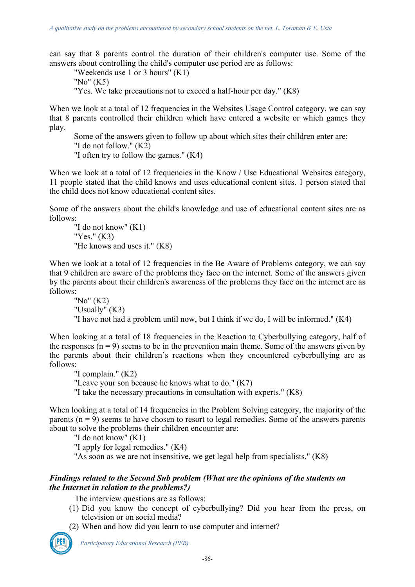can say that 8 parents control the duration of their children's computer use. Some of the answers about controlling the child's computer use period are as follows:

"Weekends use 1 or 3 hours" (K1) "No" (K5)

"Yes. We take precautions not to exceed a half-hour per day." (K8)

When we look at a total of 12 frequencies in the Websites Usage Control category, we can say that 8 parents controlled their children which have entered a website or which games they play.

Some of the answers given to follow up about which sites their children enter are: "I do not follow." (K2)

"I often try to follow the games." (K4)

When we look at a total of 12 frequencies in the Know / Use Educational Websites category, 11 people stated that the child knows and uses educational content sites. 1 person stated that the child does not know educational content sites.

Some of the answers about the child's knowledge and use of educational content sites are as follows:

"I do not know" (K1) "Yes." (K3) "He knows and uses it." (K8)

When we look at a total of 12 frequencies in the Be Aware of Problems category, we can say that 9 children are aware of the problems they face on the internet. Some of the answers given by the parents about their children's awareness of the problems they face on the internet are as follows:

```
"No" (K2)
"Usually" (K3)
"I have not had a problem until now, but I think if we do, I will be informed." (K4)
```
When looking at a total of 18 frequencies in the Reaction to Cyberbullying category, half of the responses  $(n = 9)$  seems to be in the prevention main theme. Some of the answers given by the parents about their children's reactions when they encountered cyberbullying are as follows:

"I complain." (K2)

"Leave your son because he knows what to do." (K7)

"I take the necessary precautions in consultation with experts." (K8)

When looking at a total of 14 frequencies in the Problem Solving category, the majority of the parents  $(n = 9)$  seems to have chosen to resort to legal remedies. Some of the answers parents about to solve the problems their children encounter are:

"I do not know" (K1)

"I apply for legal remedies." (K4)

"As soon as we are not insensitive, we get legal help from specialists." (K8)

## *Findings related to the Second Sub problem (What are the opinions of the students on the Internet in relation to the problems?)*

The interview questions are as follows:

- (1) Did you know the concept of cyberbullying? Did you hear from the press, on television or on social media?
- (2) When and how did you learn to use computer and internet?

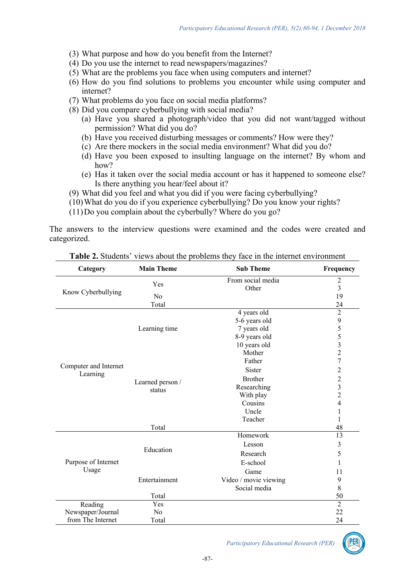- (3) What purpose and how do you benefit from the Internet?
- (4) Do you use the internet to read newspapers/magazines?
- (5) What are the problems you face when using computers and internet?
- (6) How do you find solutions to problems you encounter while using computer and internet?
- (7) What problems do you face on social media platforms?
- (8) Did you compare cyberbullying with social media?
	- (a) Have you shared a photograph/video that you did not want/tagged without permission? What did you do?
	- (b) Have you received disturbing messages or comments? How were they?
	- (c) Are there mockers in the social media environment? What did you do?
	- (d) Have you been exposed to insulting language on the internet? By whom and how?
	- (e) Has it taken over the social media account or has it happened to someone else? Is there anything you hear/feel about it?
- (9) What did you feel and what you did if you were facing cyberbullying?
- (10)What do you do if you experience cyberbullying? Do you know your rights?
- (11)Do you complain about the cyberbully? Where do you go?

The answers to the interview questions were examined and the codes were created and categorized.

| Category                          | <b>Main Theme</b>          | <b>Sub Theme</b>      | Frequency      |
|-----------------------------------|----------------------------|-----------------------|----------------|
|                                   |                            | From social media     | $\overline{c}$ |
|                                   | Yes                        | Other                 | 3              |
| Know Cyberbullying                | N <sub>0</sub>             |                       | 19             |
|                                   | Total                      |                       | 24             |
|                                   |                            | 4 years old           | $\overline{2}$ |
|                                   | Learning time              | 5-6 years old         | 9              |
|                                   |                            | 7 years old           | 5              |
|                                   |                            | 8-9 years old         | 5              |
|                                   |                            | 10 years old          | 3              |
|                                   |                            | Mother                | $\overline{c}$ |
|                                   |                            | Father                | $\overline{7}$ |
| Computer and Internet<br>Learning |                            | Sister                | $\overline{c}$ |
|                                   |                            | <b>Brother</b>        | $\overline{c}$ |
|                                   | Learned person /<br>status | Researching           | 3              |
|                                   |                            | With play             | $\overline{c}$ |
|                                   |                            | Cousins               | $\overline{4}$ |
|                                   |                            | Uncle                 | 1              |
|                                   |                            | Teacher               | 1              |
|                                   | Total                      |                       | 48             |
| Purpose of Internet<br>Usage      | Education                  | Homework              | 13             |
|                                   |                            | Lesson                | 3              |
|                                   |                            | Research              | 5              |
|                                   |                            | E-school              | 1              |
|                                   | Entertainment              | Game                  | 11             |
|                                   |                            | Video / movie viewing | 9              |
|                                   |                            | Social media          | 8              |
|                                   | Total                      |                       | 50             |
| Reading                           | Yes                        |                       | $\overline{2}$ |
| Newspaper/Journal                 | No                         |                       | 22             |
| from The Internet                 | Total                      |                       | 24             |

**Table 2.** Students' views about the problems they face in the internet environment

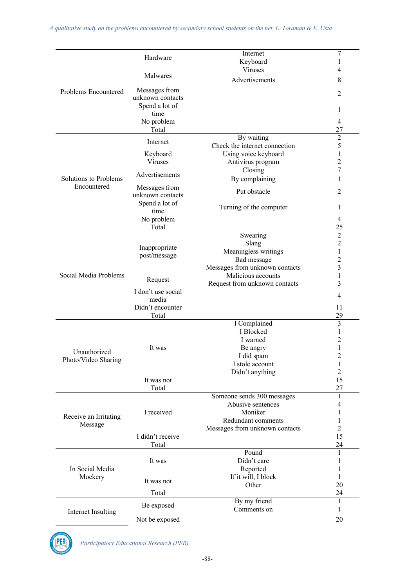|                                     | Hardware           | Internet                       | 7                       |
|-------------------------------------|--------------------|--------------------------------|-------------------------|
|                                     |                    | Keyboard                       | 1                       |
|                                     |                    | <b>Viruses</b>                 | 4                       |
|                                     | Malwares           |                                |                         |
|                                     |                    | Advertisements                 | 8                       |
| Problems Encountered                | Messages from      |                                |                         |
|                                     | unknown contacts   |                                | 2                       |
|                                     | Spend a lot of     |                                |                         |
|                                     |                    |                                | 1                       |
|                                     | time               |                                |                         |
|                                     | No problem         |                                | $\overline{4}$          |
|                                     | Total              |                                | 27                      |
|                                     | Internet           | By waiting                     | $\overline{2}$          |
|                                     |                    | Check the internet connection  | 5                       |
|                                     | Keyboard           | Using voice keyboard           | $\mathbf{1}$            |
|                                     | <b>Viruses</b>     | Antivirus program              | $\overline{c}$          |
|                                     |                    | Closing                        | 7                       |
|                                     | Advertisements     |                                |                         |
| Solutions to Problems               |                    | By complaining                 | 1                       |
| Encountered                         | Messages from      | Put obstacle                   | 2                       |
|                                     | unknown contacts   |                                |                         |
|                                     | Spend a lot of     |                                |                         |
|                                     | time               | Turning of the computer        | 1                       |
|                                     | No problem         |                                | 4                       |
|                                     | Total              |                                | 25                      |
|                                     |                    |                                |                         |
|                                     |                    | Swearing                       | $\overline{2}$          |
|                                     | Inappropriate      | Slang                          | $\sqrt{2}$              |
|                                     | post/message       | Meaningless writings           | $\mathbf{1}$            |
|                                     |                    | Bad message                    | $\overline{2}$          |
|                                     |                    | Messages from unknown contacts | 3                       |
| Social Media Problems               |                    | Malicious accounts             | $\mathbf{1}$            |
|                                     | Request            | Request from unknown contacts  | 3                       |
|                                     | I don't use social |                                |                         |
|                                     |                    |                                | $\overline{4}$          |
|                                     | media              |                                |                         |
|                                     | Didn't encounter   |                                | 11                      |
|                                     | Total              |                                | 29                      |
|                                     |                    | I Complained                   | $\overline{\mathbf{3}}$ |
|                                     |                    | I Blocked                      | $\mathbf{1}$            |
|                                     |                    | I warned                       | $\overline{c}$          |
|                                     | It was             | Be angry                       | $\,1$                   |
| Unauthorized<br>Photo/Video Sharing |                    | I did spam                     | $\overline{2}$          |
|                                     |                    | I stole account                |                         |
|                                     |                    |                                | $\mathbf{1}$            |
|                                     |                    | Didn't anything                | $\overline{c}$          |
|                                     | It was not         |                                | 15                      |
|                                     | Total              |                                | 27                      |
|                                     |                    | Someone sends 300 messages     | $\mathbf{1}$            |
|                                     |                    | Abusive sentences              | 4                       |
| Receive an Irritating<br>Message    | I received         | Moniker                        | 1                       |
|                                     |                    | Redundant comments             | 1                       |
|                                     |                    | Messages from unknown contacts | $\overline{2}$          |
|                                     |                    |                                |                         |
|                                     | I didn't receive   |                                | 15                      |
|                                     | Total              |                                | 24                      |
| In Social Media<br>Mockery          | It was             | Pound                          | 1                       |
|                                     |                    | Didn't care                    | 1                       |
|                                     |                    | Reported                       | 1                       |
|                                     | It was not         | If it will, I block            | 1                       |
|                                     |                    | Other                          | 20                      |
|                                     |                    |                                |                         |
|                                     | Total              |                                | 24                      |
|                                     | Be exposed         | By my friend                   | 1                       |
| Internet Insulting                  |                    | Comments on                    | 1                       |
|                                     | Not be exposed     |                                | 20                      |

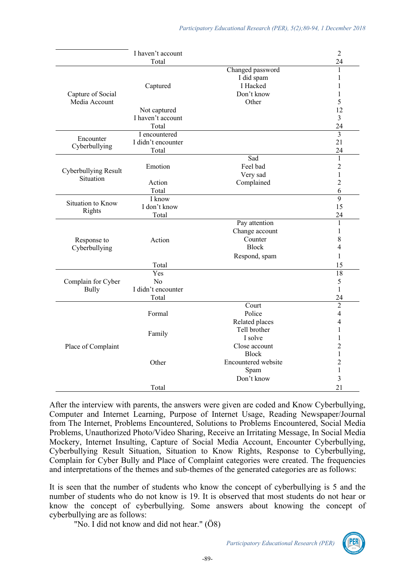|                                   | I haven't account  |                                                                     | $\overline{c}$  |
|-----------------------------------|--------------------|---------------------------------------------------------------------|-----------------|
|                                   | Total              |                                                                     | 24              |
|                                   |                    | Changed password                                                    | $\mathbf{1}$    |
|                                   |                    | I did spam                                                          | 1               |
|                                   | Captured           | I Hacked                                                            | 1               |
| Capture of Social                 |                    | Don't know                                                          | $\mathbf{1}$    |
| Media Account                     |                    | Other<br>Sad<br>Feel bad<br>Very sad<br>Complained<br>Pay attention | 5               |
|                                   | Not captured       |                                                                     | 12              |
|                                   | I haven't account  |                                                                     | $\mathfrak{Z}$  |
|                                   | Total              |                                                                     | 24              |
|                                   | I encountered      |                                                                     | $\overline{3}$  |
| Encounter                         | I didn't encounter |                                                                     | 21              |
| Cyberbullying                     | Total              |                                                                     | 24              |
|                                   |                    |                                                                     | $\mathbf{1}$    |
|                                   | Emotion            |                                                                     | $\overline{2}$  |
| Cyberbullying Result<br>Situation |                    |                                                                     | $\mathbf{1}$    |
|                                   | Action             |                                                                     | $\overline{2}$  |
|                                   | Total              |                                                                     | 6               |
| Situation to Know                 | I know             |                                                                     | $\overline{9}$  |
|                                   | I don't know       |                                                                     | 15              |
| Rights                            | Total              |                                                                     | 24              |
|                                   |                    |                                                                     | $\mathbf{1}$    |
|                                   | Action<br>Total    | Change account                                                      | 1               |
| Response to                       |                    | Counter                                                             | 8               |
| Cyberbullying                     |                    | <b>Block</b>                                                        | 4               |
|                                   |                    | Respond, spam                                                       | 1               |
|                                   |                    |                                                                     | 15              |
|                                   | Yes                |                                                                     | $\overline{18}$ |
| Complain for Cyber                | N <sub>o</sub>     |                                                                     | $\mathfrak s$   |
| <b>Bully</b>                      | I didn't encounter |                                                                     | 1               |
|                                   | Total              |                                                                     | 24              |
|                                   | Formal             | Court                                                               | $\overline{2}$  |
|                                   |                    | Police                                                              | $\overline{4}$  |
|                                   |                    | Related places                                                      | 4               |
|                                   | Family             | Tell brother                                                        | 1               |
|                                   |                    | I solve                                                             | $\mathbf{1}$    |
| Place of Complaint                |                    | Close account                                                       | $\overline{2}$  |
|                                   | Other              | <b>Block</b>                                                        | $\mathbf{1}$    |
|                                   |                    | Encountered website                                                 | $\overline{2}$  |
|                                   |                    | Spam                                                                | $\mathbf{1}$    |
|                                   |                    | Don't know                                                          | $\overline{3}$  |
|                                   | Total              |                                                                     | 21              |

After the interview with parents, the answers were given are coded and Know Cyberbullying, Computer and Internet Learning, Purpose of Internet Usage, Reading Newspaper/Journal from The Internet, Problems Encountered, Solutions to Problems Encountered, Social Media Problems, Unauthorized Photo/Video Sharing, Receive an Irritating Message, In Social Media Mockery, Internet Insulting, Capture of Social Media Account, Encounter Cyberbullying, Cyberbullying Result Situation, Situation to Know Rights, Response to Cyberbullying, Complain for Cyber Bully and Place of Complaint categories were created. The frequencies and interpretations of the themes and sub-themes of the generated categories are as follows:

It is seen that the number of students who know the concept of cyberbullying is 5 and the number of students who do not know is 19. It is observed that most students do not hear or know the concept of cyberbullying. Some answers about knowing the concept of cyberbullying are as follows:

"No. I did not know and did not hear." (Ö8)

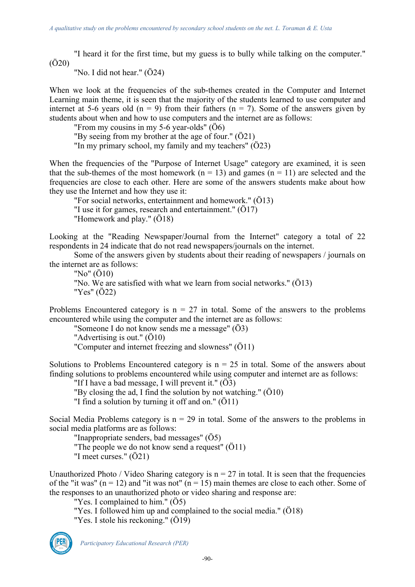"I heard it for the first time, but my guess is to bully while talking on the computer." (Ö20)

"No. I did not hear." (Ö24)

When we look at the frequencies of the sub-themes created in the Computer and Internet Learning main theme, it is seen that the majority of the students learned to use computer and internet at 5-6 years old  $(n = 9)$  from their fathers  $(n = 7)$ . Some of the answers given by students about when and how to use computers and the internet are as follows:

"From my cousins in my 5-6 year-olds" (Ö6)

"By seeing from my brother at the age of four." (Ö21)

"In my primary school, my family and my teachers" (Ö23)

When the frequencies of the "Purpose of Internet Usage" category are examined, it is seen that the sub-themes of the most homework ( $n = 13$ ) and games ( $n = 11$ ) are selected and the frequencies are close to each other. Here are some of the answers students make about how they use the Internet and how they use it:

"For social networks, entertainment and homework." (Ö13)

"I use it for games, research and entertainment." (Ö17)

"Homework and play." (Ö18)

Looking at the "Reading Newspaper/Journal from the Internet" category a total of 22 respondents in 24 indicate that do not read newspapers/journals on the internet.

Some of the answers given by students about their reading of newspapers / journals on the internet are as follows:

"No" (Ö10) "No. We are satisfied with what we learn from social networks." (Ö13) "Yes" (Ö22)

Problems Encountered category is  $n = 27$  in total. Some of the answers to the problems encountered while using the computer and the internet are as follows:

"Someone I do not know sends me a message" (Ö3)

"Advertising is out." (Ö10)

"Computer and internet freezing and slowness" (Ö11)

Solutions to Problems Encountered category is  $n = 25$  in total. Some of the answers about finding solutions to problems encountered while using computer and internet are as follows:

"If I have a bad message, I will prevent it."  $(03)$ 

"By closing the ad, I find the solution by not watching." (Ö10)

"I find a solution by turning it off and on." (Ö11)

Social Media Problems category is  $n = 29$  in total. Some of the answers to the problems in social media platforms are as follows:

"Inappropriate senders, bad messages" (Ö5) "The people we do not know send a request" (Ö11)

"I meet curses." (Ö21)

Unauthorized Photo / Video Sharing category is  $n = 27$  in total. It is seen that the frequencies of the "it was" ( $n = 12$ ) and "it was not" ( $n = 15$ ) main themes are close to each other. Some of the responses to an unauthorized photo or video sharing and response are:

"Yes. I complained to him." (Ö5)

"Yes. I followed him up and complained to the social media." (Ö18) "Yes. I stole his reckoning." (Ö19)

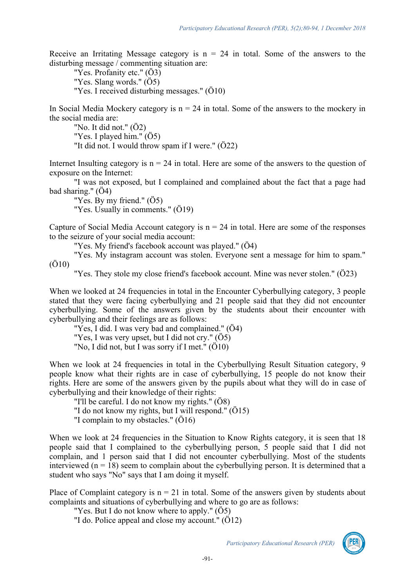Receive an Irritating Message category is  $n = 24$  in total. Some of the answers to the disturbing message / commenting situation are:

"Yes. Profanity etc." (Ö3) "Yes. Slang words." (Ö5) "Yes. I received disturbing messages." (Ö10)

In Social Media Mockery category is  $n = 24$  in total. Some of the answers to the mockery in the social media are:

"No. It did not." (Ö2)

"Yes. I played him." (Ö5)

"It did not. I would throw spam if I were." (Ö22)

Internet Insulting category is  $n = 24$  in total. Here are some of the answers to the question of exposure on the Internet:

"I was not exposed, but I complained and complained about the fact that a page had bad sharing." (Ö4)

"Yes. By my friend." (Ö5)

"Yes. Usually in comments." (Ö19)

Capture of Social Media Account category is  $n = 24$  in total. Here are some of the responses to the seizure of your social media account:

"Yes. My friend's facebook account was played." (Ö4)

"Yes. My instagram account was stolen. Everyone sent a message for him to spam." (Ö10)

"Yes. They stole my close friend's facebook account. Mine was never stolen." (Ö23)

When we looked at 24 frequencies in total in the Encounter Cyberbullying category, 3 people stated that they were facing cyberbullying and 21 people said that they did not encounter cyberbullying. Some of the answers given by the students about their encounter with cyberbullying and their feelings are as follows:

"Yes, I did. I was very bad and complained." (Ö4)

"Yes, I was very upset, but I did not cry." (Ö5)

"No, I did not, but I was sorry if I met." (Ö10)

When we look at 24 frequencies in total in the Cyberbullying Result Situation category, 9 people know what their rights are in case of cyberbullying, 15 people do not know their rights. Here are some of the answers given by the pupils about what they will do in case of cyberbullying and their knowledge of their rights:

"I'll be careful. I do not know my rights." (Ö8)

"I do not know my rights, but I will respond." (Ö15)

"I complain to my obstacles." (Ö16)

When we look at 24 frequencies in the Situation to Know Rights category, it is seen that 18 people said that I complained to the cyberbullying person, 5 people said that I did not complain, and 1 person said that I did not encounter cyberbullying. Most of the students interviewed ( $n = 18$ ) seem to complain about the cyberbullying person. It is determined that a student who says "No" says that I am doing it myself.

Place of Complaint category is  $n = 21$  in total. Some of the answers given by students about complaints and situations of cyberbullying and where to go are as follows:

"Yes. But I do not know where to apply." (Ö5)

"I do. Police appeal and close my account." (Ö12)

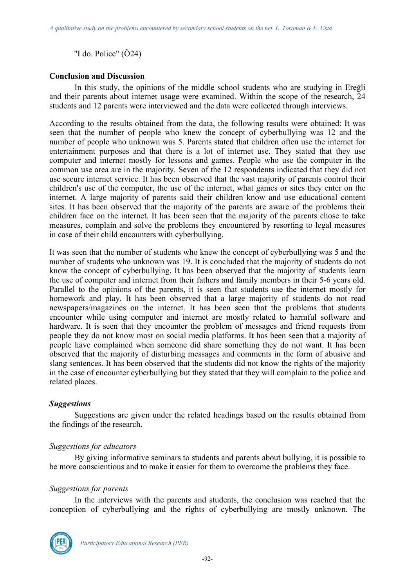"I do. Police" (Ö24)

#### **Conclusion and Discussion**

In this study, the opinions of the middle school students who are studying in Ereğli and their parents about internet usage were examined. Within the scope of the research, 24 students and 12 parents were interviewed and the data were collected through interviews.

According to the results obtained from the data, the following results were obtained: It was seen that the number of people who knew the concept of cyberbullying was 12 and the number of people who unknown was 5. Parents stated that children often use the internet for entertainment purposes and that there is a lot of internet use. They stated that they use computer and internet mostly for lessons and games. People who use the computer in the common use area are in the majority. Seven of the 12 respondents indicated that they did not use secure internet service. It has been observed that the vast majority of parents control their children's use of the computer, the use of the internet, what games or sites they enter on the internet. A large majority of parents said their children know and use educational content sites. It has been observed that the majority of the parents are aware of the problems their children face on the internet. It has been seen that the majority of the parents chose to take measures, complain and solve the problems they encountered by resorting to legal measures in case of their child encounters with cyberbullying.

It was seen that the number of students who knew the concept of cyberbullying was 5 and the number of students who unknown was 19. It is concluded that the majority of students do not know the concept of cyberbullying. It has been observed that the majority of students learn the use of computer and internet from their fathers and family members in their 5-6 years old. Parallel to the opinions of the parents, it is seen that students use the internet mostly for homework and play. It has been observed that a large majority of students do not read newspapers/magazines on the internet. It has been seen that the problems that students encounter while using computer and internet are mostly related to harmful software and hardware. It is seen that they encounter the problem of messages and friend requests from people they do not know most on social media platforms. It has been seen that a majority of people have complained when someone did share something they do not want. It has been observed that the majority of disturbing messages and comments in the form of abusive and slang sentences. It has been observed that the students did not know the rights of the majority in the case of encounter cyberbullying but they stated that they will complain to the police and related places.

## *Suggestions*

Suggestions are given under the related headings based on the results obtained from the findings of the research.

## *Suggestions for educators*

By giving informative seminars to students and parents about bullying, it is possible to be more conscientious and to make it easier for them to overcome the problems they face.

#### *Suggestions for parents*

In the interviews with the parents and students, the conclusion was reached that the conception of cyberbullying and the rights of cyberbullying are mostly unknown. The

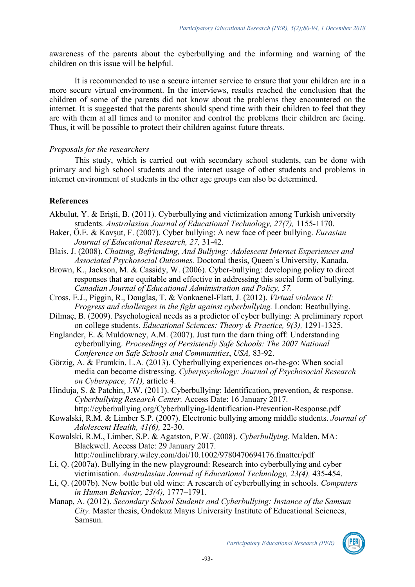awareness of the parents about the cyberbullying and the informing and warning of the children on this issue will be helpful.

It is recommended to use a secure internet service to ensure that your children are in a more secure virtual environment. In the interviews, results reached the conclusion that the children of some of the parents did not know about the problems they encountered on the internet. It is suggested that the parents should spend time with their children to feel that they are with them at all times and to monitor and control the problems their children are facing. Thus, it will be possible to protect their children against future threats.

#### *Proposals for the researchers*

This study, which is carried out with secondary school students, can be done with primary and high school students and the internet usage of other students and problems in internet environment of students in the other age groups can also be determined.

## **References**

- Akbulut, Y. & Erişti, B. (2011). Cyberbullying and victimization among Turkish university students. *Australasian Journal of Educational Technology, 27(7),* 1155-1170.
- Baker, Ö.E. & Kavşut, F. (2007). Cyber bullying: A new face of peer bullying. *Eurasian Journal of Educational Research, 27,* 31-42.
- Blais, J. (2008). *Chatting, Befriending, And Bullying: Adolescent Internet Experiences and Associated Psychosocial Outcomes.* Doctoral thesis, Queen's University, Kanada.
- Brown, K., Jackson, M. & Cassidy, W. (2006). Cyber-bullying: developing policy to direct responses that are equitable and effective in addressing this social form of bullying. *Canadian Journal of Educational Administration and Policy, 57.*
- Cross, E.J., Piggin, R., Douglas, T. & Vonkaenel-Flatt, J. (2012). *Virtual violence II: Progress and challenges in the fight against cyberbullying.* London: Beatbullying.
- Dilmaç, B. (2009). Psychological needs as a predictor of cyber bullying: A preliminary report on college students. *Educational Sciences: Theory & Practice, 9(3),* 1291-1325.
- Englander, E. & Muldowney, A.M. (2007). Just turn the darn thing off: Understanding cyberbullying. *Proceedings of Persistently Safe Schools: The 2007 National Conference on Safe Schools and Communities*, *USA,* 83-92.
- Görzig, A. & Frumkin, L.A. (2013). Cyberbullying experiences on-the-go: When social media can become distressing. *Cyberpsychology: Journal of Psychosocial Research on Cyberspace, 7(1),* article 4.
- Hinduja, S. & Patchin, J.W. (2011). Cyberbullying: Identification, prevention, & response. *Cyberbullying Research Center.* Access Date: 16 January 2017. http://cyberbullying.org/Cyberbullying-Identification-Prevention-Response.pdf
- Kowalski, R.M. & Limber S.P. (2007). Electronic bullying among middle students. *Journal of Adolescent Health, 41(6),* 22-30.
- Kowalski, R.M., Limber, S.P. & Agatston, P.W. (2008). *Cyberbullying*. Malden, MA: Blackwell. Access Date: 29 January 2017. http://onlinelibrary.wiley.com/doi/10.1002/9780470694176.fmatter/pdf
- Li, Q. (2007a). Bullying in the new playground: Research into cyberbullying and cyber victimisation. *Australasian Journal of Educational Technology, 23(4),* 435-454.
- Li, Q. (2007b). New bottle but old wine: A research of cyberbullying in schools. *Computers in Human Behavior, 23(4),* 1777–1791.
- Manap, A. (2012). *Secondary School Students and Cyberbullying: Instance of the Samsun City.* Master thesis, Ondokuz Mayıs University Institute of Educational Sciences, Samsun.